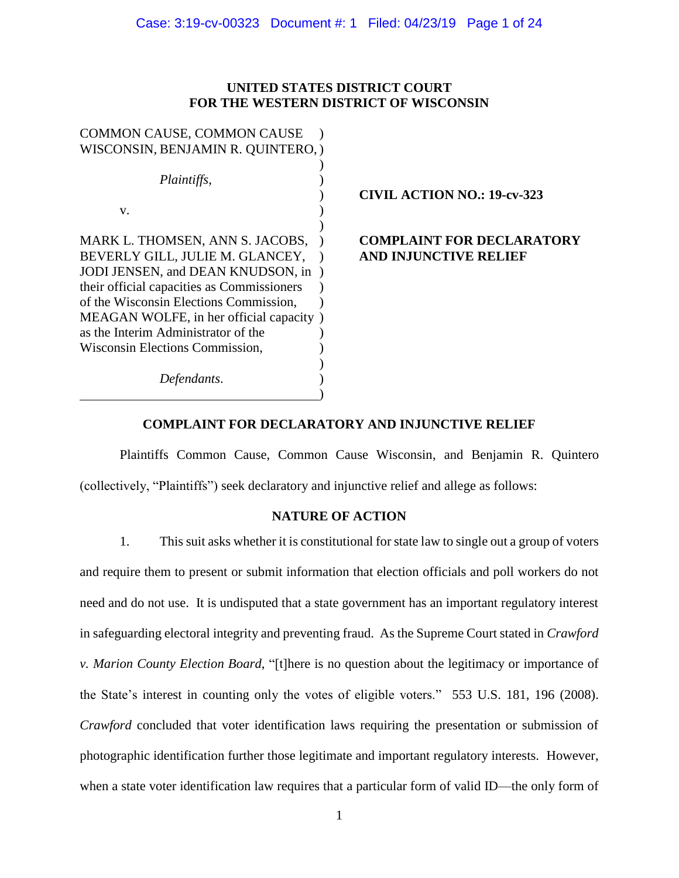# **UNITED STATES DISTRICT COURT FOR THE WESTERN DISTRICT OF WISCONSIN**

| <b>COMMON CAUSE, COMMON CAUSE</b>          |                                    |
|--------------------------------------------|------------------------------------|
| WISCONSIN, BENJAMIN R. QUINTERO, )         |                                    |
|                                            |                                    |
| Plaintiffs,                                |                                    |
|                                            | <b>CIVIL ACTION NO.: 19-cv-323</b> |
| V.                                         |                                    |
|                                            |                                    |
| MARK L. THOMSEN, ANN S. JACOBS,            | <b>COMPLAINT FOR DECLARATORY</b>   |
| BEVERLY GILL, JULIE M. GLANCEY,            | <b>AND INJUNCTIVE RELIEF</b>       |
| JODI JENSEN, and DEAN KNUDSON, in          |                                    |
| their official capacities as Commissioners |                                    |
| of the Wisconsin Elections Commission,     |                                    |
| MEAGAN WOLFE, in her official capacity)    |                                    |
| as the Interim Administrator of the        |                                    |
| Wisconsin Elections Commission,            |                                    |
|                                            |                                    |
| Defendants.                                |                                    |
|                                            |                                    |

# **COMPLAINT FOR DECLARATORY AND INJUNCTIVE RELIEF**

Plaintiffs Common Cause, Common Cause Wisconsin, and Benjamin R. Quintero (collectively, "Plaintiffs") seek declaratory and injunctive relief and allege as follows:

# **NATURE OF ACTION**

1. This suit asks whether it is constitutional for state law to single out a group of voters and require them to present or submit information that election officials and poll workers do not need and do not use. It is undisputed that a state government has an important regulatory interest in safeguarding electoral integrity and preventing fraud. As the Supreme Court stated in *Crawford v. Marion County Election Board*, "[t]here is no question about the legitimacy or importance of the State's interest in counting only the votes of eligible voters." 553 U.S. 181, 196 (2008). *Crawford* concluded that voter identification laws requiring the presentation or submission of photographic identification further those legitimate and important regulatory interests. However, when a state voter identification law requires that a particular form of valid ID—the only form of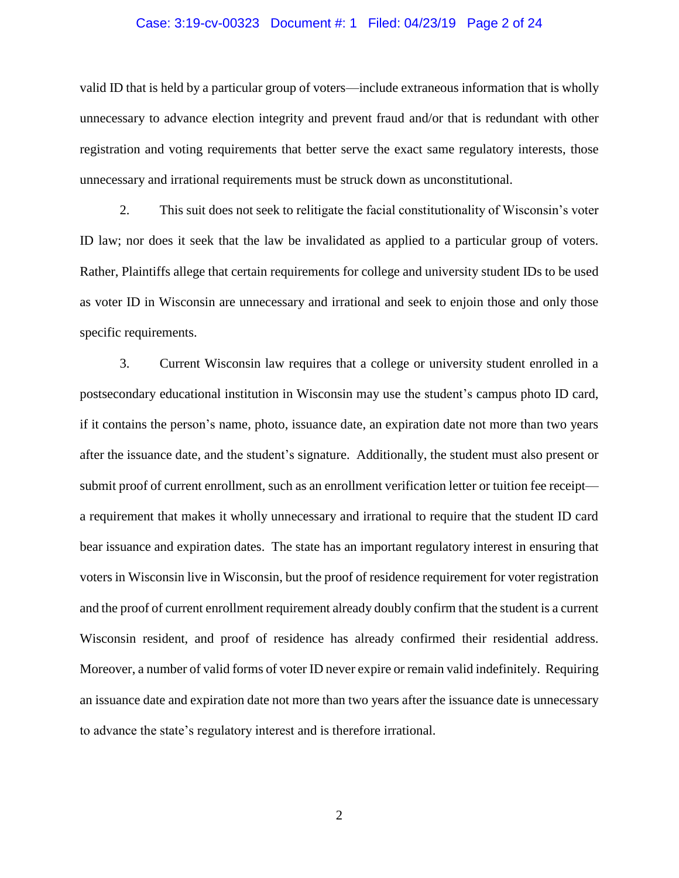# Case: 3:19-cv-00323 Document #: 1 Filed: 04/23/19 Page 2 of 24

valid ID that is held by a particular group of voters—include extraneous information that is wholly unnecessary to advance election integrity and prevent fraud and/or that is redundant with other registration and voting requirements that better serve the exact same regulatory interests, those unnecessary and irrational requirements must be struck down as unconstitutional.

2. This suit does not seek to relitigate the facial constitutionality of Wisconsin's voter ID law; nor does it seek that the law be invalidated as applied to a particular group of voters. Rather, Plaintiffs allege that certain requirements for college and university student IDs to be used as voter ID in Wisconsin are unnecessary and irrational and seek to enjoin those and only those specific requirements.

3. Current Wisconsin law requires that a college or university student enrolled in a postsecondary educational institution in Wisconsin may use the student's campus photo ID card, if it contains the person's name, photo, issuance date, an expiration date not more than two years after the issuance date, and the student's signature. Additionally, the student must also present or submit proof of current enrollment, such as an enrollment verification letter or tuition fee receipt a requirement that makes it wholly unnecessary and irrational to require that the student ID card bear issuance and expiration dates. The state has an important regulatory interest in ensuring that voters in Wisconsin live in Wisconsin, but the proof of residence requirement for voter registration and the proof of current enrollment requirement already doubly confirm that the student is a current Wisconsin resident, and proof of residence has already confirmed their residential address. Moreover, a number of valid forms of voter ID never expire or remain valid indefinitely. Requiring an issuance date and expiration date not more than two years after the issuance date is unnecessary to advance the state's regulatory interest and is therefore irrational.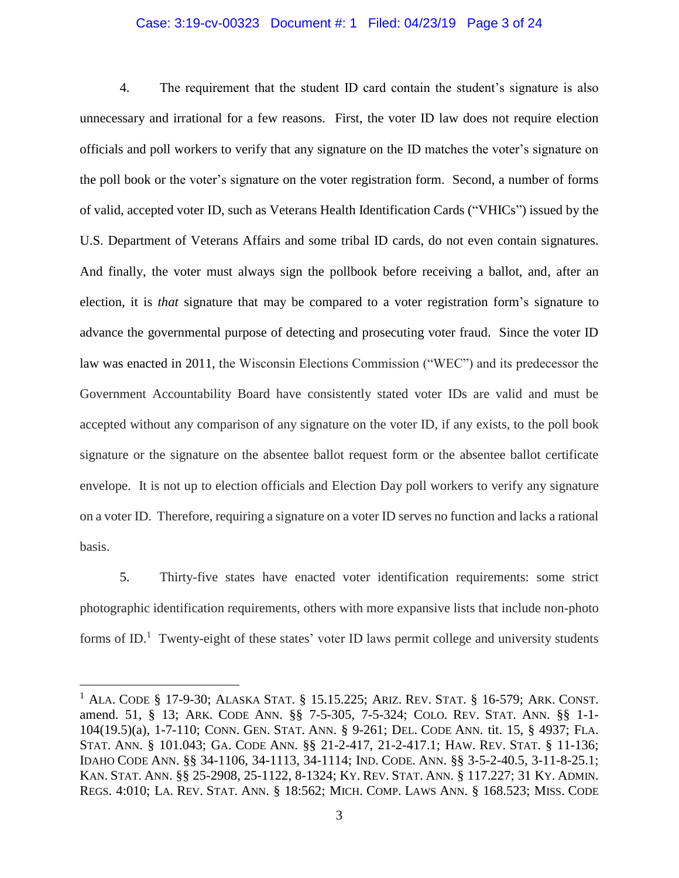# Case: 3:19-cv-00323 Document #: 1 Filed: 04/23/19 Page 3 of 24

4. The requirement that the student ID card contain the student's signature is also unnecessary and irrational for a few reasons. First, the voter ID law does not require election officials and poll workers to verify that any signature on the ID matches the voter's signature on the poll book or the voter's signature on the voter registration form. Second, a number of forms of valid, accepted voter ID, such as Veterans Health Identification Cards ("VHICs") issued by the U.S. Department of Veterans Affairs and some tribal ID cards, do not even contain signatures. And finally, the voter must always sign the pollbook before receiving a ballot, and, after an election, it is *that* signature that may be compared to a voter registration form's signature to advance the governmental purpose of detecting and prosecuting voter fraud. Since the voter ID law was enacted in 2011, the Wisconsin Elections Commission ("WEC") and its predecessor the Government Accountability Board have consistently stated voter IDs are valid and must be accepted without any comparison of any signature on the voter ID, if any exists, to the poll book signature or the signature on the absentee ballot request form or the absentee ballot certificate envelope. It is not up to election officials and Election Day poll workers to verify any signature on a voter ID. Therefore, requiring a signature on a voter ID serves no function and lacks a rational basis.

5. Thirty-five states have enacted voter identification requirements: some strict photographic identification requirements, others with more expansive lists that include non-photo forms of ID.<sup>1</sup> Twenty-eight of these states' voter ID laws permit college and university students

<sup>&</sup>lt;sup>1</sup> ALA. CODE § 17-9-30; ALASKA STAT. § 15.15.225; ARIZ. REV. STAT. § 16-579; ARK. CONST. amend. 51, § 13; ARK. CODE ANN. §§ 7-5-305, 7-5-324; COLO. REV. STAT. ANN. §§ 1-1- 104(19.5)(a), 1-7-110; CONN. GEN. STAT. ANN. § 9-261; DEL. CODE ANN. tit. 15, § 4937; FLA. STAT. ANN. § 101.043; GA. CODE ANN. §§ 21-2-417, 21-2-417.1; HAW. REV. STAT. § 11-136; IDAHO CODE ANN. §§ 34-1106, 34-1113, 34-1114; IND. CODE. ANN. §§ 3-5-2-40.5, 3-11-8-25.1; KAN. STAT. ANN. §§ 25-2908, 25-1122, 8-1324; KY. REV. STAT. ANN. § 117.227; 31 KY. ADMIN. REGS. 4:010; LA. REV. STAT. ANN. § 18:562; MICH. COMP. LAWS ANN. § 168.523; MISS. CODE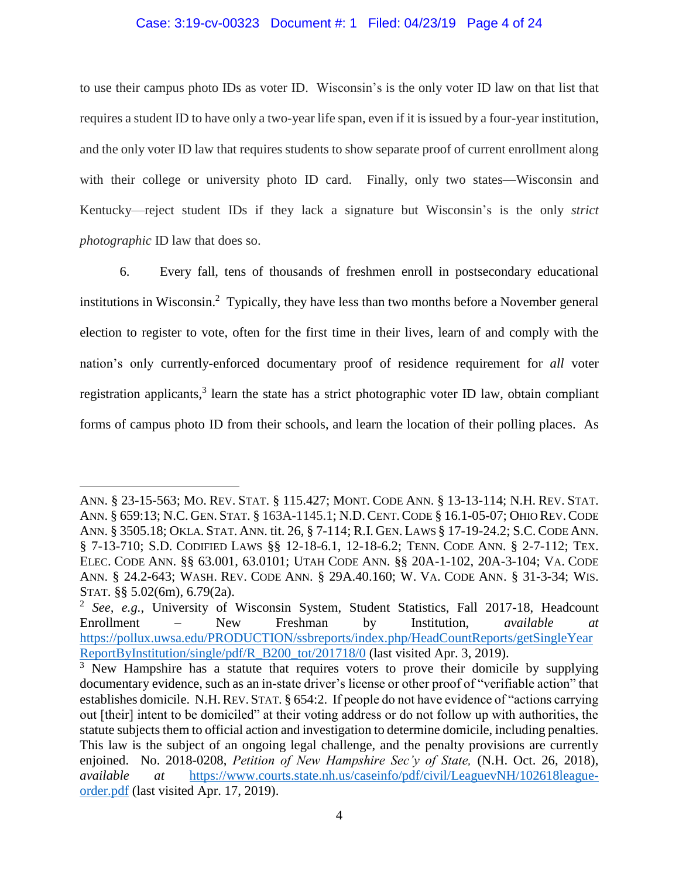#### Case: 3:19-cv-00323 Document #: 1 Filed: 04/23/19 Page 4 of 24

to use their campus photo IDs as voter ID. Wisconsin's is the only voter ID law on that list that requires a student ID to have only a two-year life span, even if it is issued by a four-year institution, and the only voter ID law that requires students to show separate proof of current enrollment along with their college or university photo ID card. Finally, only two states—Wisconsin and Kentucky—reject student IDs if they lack a signature but Wisconsin's is the only *strict photographic* ID law that does so.

6. Every fall, tens of thousands of freshmen enroll in postsecondary educational institutions in Wisconsin. 2 Typically, they have less than two months before a November general election to register to vote, often for the first time in their lives, learn of and comply with the nation's only currently-enforced documentary proof of residence requirement for *all* voter registration applicants,<sup>3</sup> learn the state has a strict photographic voter ID law, obtain compliant forms of campus photo ID from their schools, and learn the location of their polling places. As

ANN. § 23-15-563; MO. REV. STAT. § 115.427; MONT. CODE ANN. § 13-13-114; N.H. REV. STAT. ANN. § 659:13; N.C. GEN. STAT. § 163A-1145.1; N.D.CENT.CODE § 16.1-05-07; OHIO REV.CODE ANN. § 3505.18; OKLA. STAT. ANN. tit. 26, § 7-114; R.I. GEN. LAWS § 17-19-24.2; S.C.CODE ANN. § 7-13-710; S.D. CODIFIED LAWS §§ 12-18-6.1, 12-18-6.2; TENN. CODE ANN. § 2-7-112; TEX. ELEC. CODE ANN. §§ 63.001, 63.0101; UTAH CODE ANN. §§ 20A-1-102, 20A-3-104; VA. CODE ANN. § 24.2-643; WASH. REV. CODE ANN. § 29A.40.160; W. VA. CODE ANN. § 31-3-34; WIS. STAT. §§ 5.02(6m), 6.79(2a).

<sup>2</sup> *See, e.g.*, University of Wisconsin System, Student Statistics, Fall 2017-18, Headcount Enrollment – New Freshman by Institution, *available at*  https://pollux.uwsa.edu/PRODUCTION/ssbreports/index.php/HeadCountReports/getSingleYear ReportByInstitution/single/pdf/R\_B200\_tot/201718/0 (last visited Apr. 3, 2019).

 $\overline{3}$  New Hampshire has a statute that requires voters to prove their domicile by supplying documentary evidence, such as an in-state driver's license or other proof of "verifiable action" that establishes domicile. N.H.REV. STAT. § 654:2. If people do not have evidence of "actions carrying out [their] intent to be domiciled" at their voting address or do not follow up with authorities, the statute subjects them to official action and investigation to determine domicile, including penalties. This law is the subject of an ongoing legal challenge, and the penalty provisions are currently enjoined. No. 2018-0208, *Petition of New Hampshire Sec'y of State,* (N.H. Oct. 26, 2018), *available at* https://www.courts.state.nh.us/caseinfo/pdf/civil/LeaguevNH/102618leagueorder.pdf (last visited Apr. 17, 2019).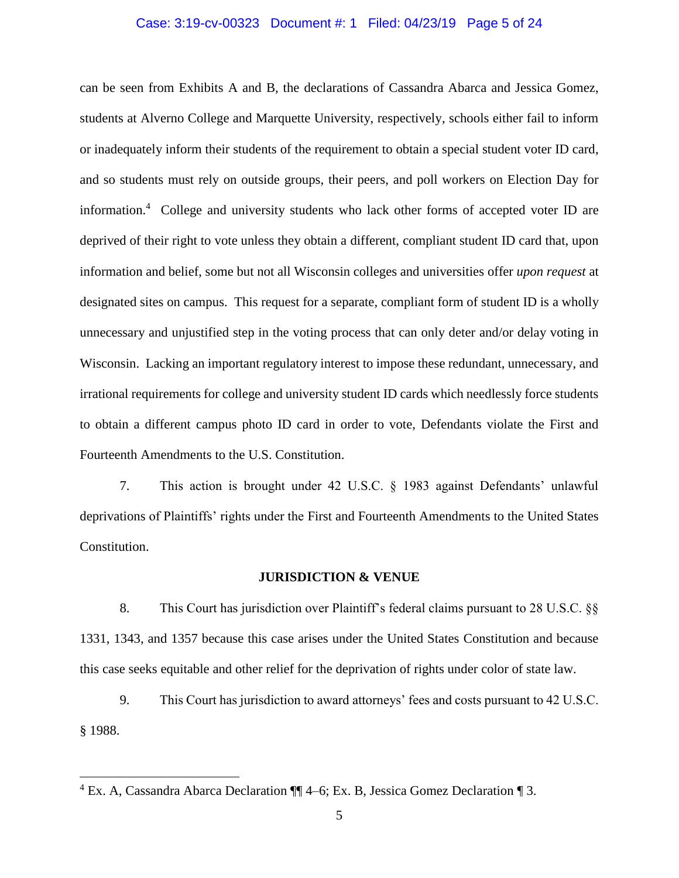### Case: 3:19-cv-00323 Document #: 1 Filed: 04/23/19 Page 5 of 24

can be seen from Exhibits A and B, the declarations of Cassandra Abarca and Jessica Gomez, students at Alverno College and Marquette University, respectively, schools either fail to inform or inadequately inform their students of the requirement to obtain a special student voter ID card, and so students must rely on outside groups, their peers, and poll workers on Election Day for information.<sup>4</sup> College and university students who lack other forms of accepted voter ID are deprived of their right to vote unless they obtain a different, compliant student ID card that, upon information and belief, some but not all Wisconsin colleges and universities offer *upon request* at designated sites on campus. This request for a separate, compliant form of student ID is a wholly unnecessary and unjustified step in the voting process that can only deter and/or delay voting in Wisconsin. Lacking an important regulatory interest to impose these redundant, unnecessary, and irrational requirements for college and university student ID cards which needlessly force students to obtain a different campus photo ID card in order to vote, Defendants violate the First and Fourteenth Amendments to the U.S. Constitution.

7. This action is brought under 42 U.S.C. § 1983 against Defendants' unlawful deprivations of Plaintiffs' rights under the First and Fourteenth Amendments to the United States Constitution.

#### **JURISDICTION & VENUE**

8. This Court has jurisdiction over Plaintiff's federal claims pursuant to 28 U.S.C. §§ 1331, 1343, and 1357 because this case arises under the United States Constitution and because this case seeks equitable and other relief for the deprivation of rights under color of state law.

9. This Court has jurisdiction to award attorneys' fees and costs pursuant to 42 U.S.C. § 1988.

<sup>4</sup> Ex. A, Cassandra Abarca Declaration ¶¶ 4–6; Ex. B, Jessica Gomez Declaration ¶ 3.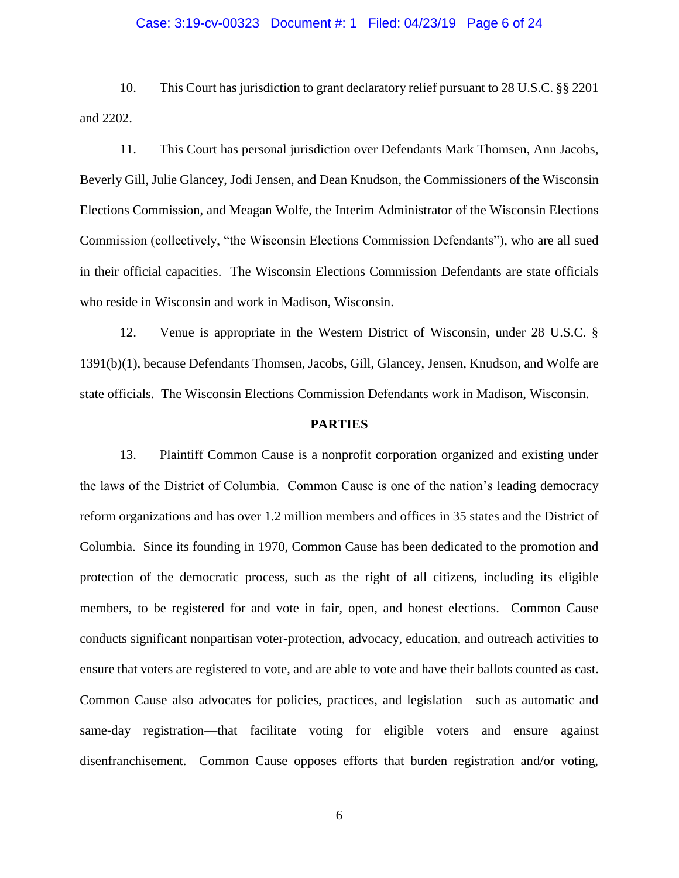# Case: 3:19-cv-00323 Document #: 1 Filed: 04/23/19 Page 6 of 24

10. This Court has jurisdiction to grant declaratory relief pursuant to 28 U.S.C. §§ 2201 and 2202.

11. This Court has personal jurisdiction over Defendants Mark Thomsen, Ann Jacobs, Beverly Gill, Julie Glancey, Jodi Jensen, and Dean Knudson, the Commissioners of the Wisconsin Elections Commission, and Meagan Wolfe, the Interim Administrator of the Wisconsin Elections Commission (collectively, "the Wisconsin Elections Commission Defendants"), who are all sued in their official capacities. The Wisconsin Elections Commission Defendants are state officials who reside in Wisconsin and work in Madison, Wisconsin.

12. Venue is appropriate in the Western District of Wisconsin, under 28 U.S.C. § 1391(b)(1), because Defendants Thomsen, Jacobs, Gill, Glancey, Jensen, Knudson, and Wolfe are state officials. The Wisconsin Elections Commission Defendants work in Madison, Wisconsin.

### **PARTIES**

13. Plaintiff Common Cause is a nonprofit corporation organized and existing under the laws of the District of Columbia. Common Cause is one of the nation's leading democracy reform organizations and has over 1.2 million members and offices in 35 states and the District of Columbia. Since its founding in 1970, Common Cause has been dedicated to the promotion and protection of the democratic process, such as the right of all citizens, including its eligible members, to be registered for and vote in fair, open, and honest elections. Common Cause conducts significant nonpartisan voter-protection, advocacy, education, and outreach activities to ensure that voters are registered to vote, and are able to vote and have their ballots counted as cast. Common Cause also advocates for policies, practices, and legislation—such as automatic and same-day registration—that facilitate voting for eligible voters and ensure against disenfranchisement. Common Cause opposes efforts that burden registration and/or voting,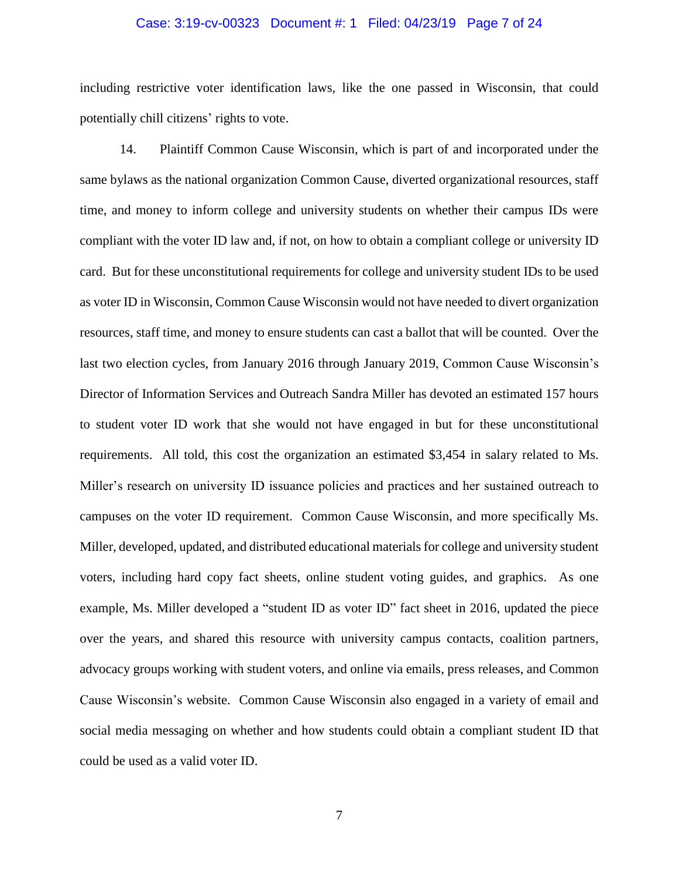## Case: 3:19-cv-00323 Document #: 1 Filed: 04/23/19 Page 7 of 24

including restrictive voter identification laws, like the one passed in Wisconsin, that could potentially chill citizens' rights to vote.

14. Plaintiff Common Cause Wisconsin, which is part of and incorporated under the same bylaws as the national organization Common Cause, diverted organizational resources, staff time, and money to inform college and university students on whether their campus IDs were compliant with the voter ID law and, if not, on how to obtain a compliant college or university ID card. But for these unconstitutional requirements for college and university student IDs to be used as voter ID in Wisconsin, Common Cause Wisconsin would not have needed to divert organization resources, staff time, and money to ensure students can cast a ballot that will be counted. Over the last two election cycles, from January 2016 through January 2019, Common Cause Wisconsin's Director of Information Services and Outreach Sandra Miller has devoted an estimated 157 hours to student voter ID work that she would not have engaged in but for these unconstitutional requirements. All told, this cost the organization an estimated \$3,454 in salary related to Ms. Miller's research on university ID issuance policies and practices and her sustained outreach to campuses on the voter ID requirement. Common Cause Wisconsin, and more specifically Ms. Miller, developed, updated, and distributed educational materials for college and university student voters, including hard copy fact sheets, online student voting guides, and graphics. As one example, Ms. Miller developed a "student ID as voter ID" fact sheet in 2016, updated the piece over the years, and shared this resource with university campus contacts, coalition partners, advocacy groups working with student voters, and online via emails, press releases, and Common Cause Wisconsin's website. Common Cause Wisconsin also engaged in a variety of email and social media messaging on whether and how students could obtain a compliant student ID that could be used as a valid voter ID.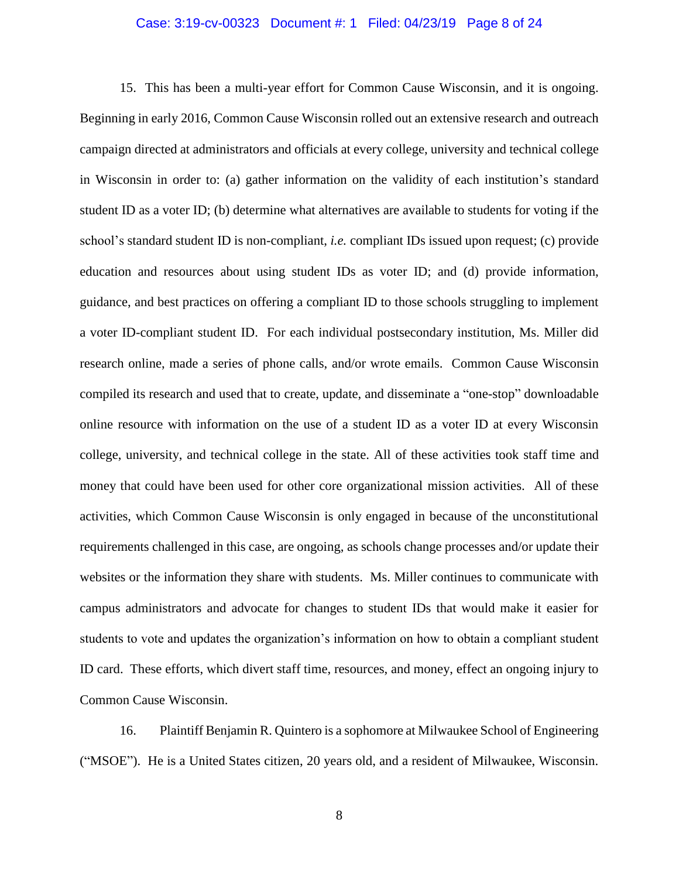### Case: 3:19-cv-00323 Document #: 1 Filed: 04/23/19 Page 8 of 24

15. This has been a multi-year effort for Common Cause Wisconsin, and it is ongoing. Beginning in early 2016, Common Cause Wisconsin rolled out an extensive research and outreach campaign directed at administrators and officials at every college, university and technical college in Wisconsin in order to: (a) gather information on the validity of each institution's standard student ID as a voter ID; (b) determine what alternatives are available to students for voting if the school's standard student ID is non-compliant, *i.e.* compliant IDs issued upon request; (c) provide education and resources about using student IDs as voter ID; and (d) provide information, guidance, and best practices on offering a compliant ID to those schools struggling to implement a voter ID-compliant student ID. For each individual postsecondary institution, Ms. Miller did research online, made a series of phone calls, and/or wrote emails. Common Cause Wisconsin compiled its research and used that to create, update, and disseminate a "one-stop" downloadable online resource with information on the use of a student ID as a voter ID at every Wisconsin college, university, and technical college in the state. All of these activities took staff time and money that could have been used for other core organizational mission activities. All of these activities, which Common Cause Wisconsin is only engaged in because of the unconstitutional requirements challenged in this case, are ongoing, as schools change processes and/or update their websites or the information they share with students. Ms. Miller continues to communicate with campus administrators and advocate for changes to student IDs that would make it easier for students to vote and updates the organization's information on how to obtain a compliant student ID card. These efforts, which divert staff time, resources, and money, effect an ongoing injury to Common Cause Wisconsin.

16. Plaintiff Benjamin R. Quintero is a sophomore at Milwaukee School of Engineering ("MSOE"). He is a United States citizen, 20 years old, and a resident of Milwaukee, Wisconsin.

8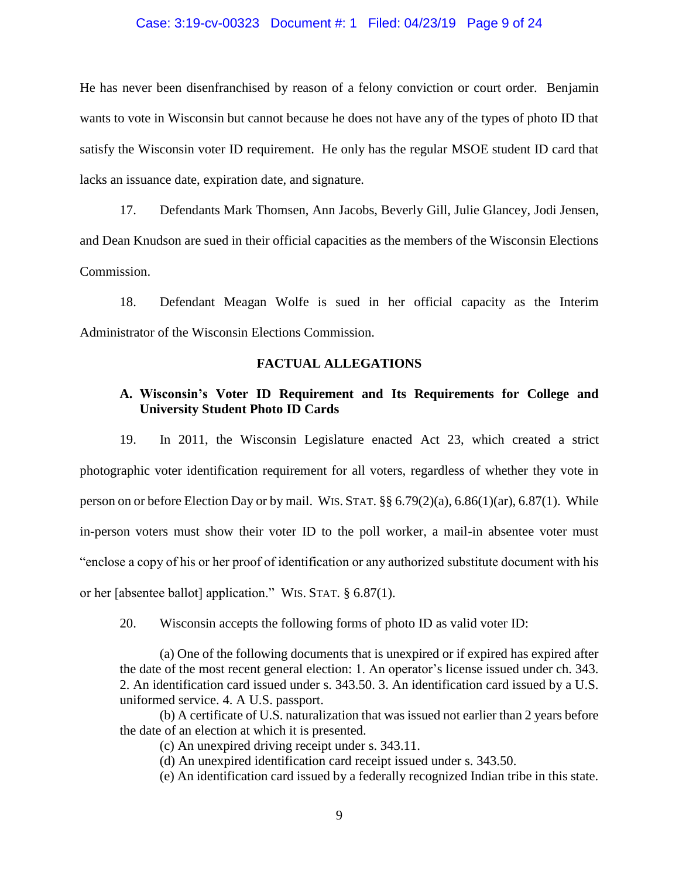#### Case: 3:19-cv-00323 Document #: 1 Filed: 04/23/19 Page 9 of 24

He has never been disenfranchised by reason of a felony conviction or court order. Benjamin wants to vote in Wisconsin but cannot because he does not have any of the types of photo ID that satisfy the Wisconsin voter ID requirement. He only has the regular MSOE student ID card that lacks an issuance date, expiration date, and signature.

17. Defendants Mark Thomsen, Ann Jacobs, Beverly Gill, Julie Glancey, Jodi Jensen, and Dean Knudson are sued in their official capacities as the members of the Wisconsin Elections Commission.

18. Defendant Meagan Wolfe is sued in her official capacity as the Interim Administrator of the Wisconsin Elections Commission.

## **FACTUAL ALLEGATIONS**

## **A. Wisconsin's Voter ID Requirement and Its Requirements for College and University Student Photo ID Cards**

19. In 2011, the Wisconsin Legislature enacted Act 23, which created a strict photographic voter identification requirement for all voters, regardless of whether they vote in person on or before Election Day or by mail. WIS. STAT. §§ 6.79(2)(a), 6.86(1)(ar), 6.87(1). While in-person voters must show their voter ID to the poll worker, a mail-in absentee voter must "enclose a copy of his or her proof of identification or any authorized substitute document with his or her [absentee ballot] application." WIS. STAT. § 6.87(1).

20. Wisconsin accepts the following forms of photo ID as valid voter ID:

(a) One of the following documents that is unexpired or if expired has expired after the date of the most recent general election: 1. An operator's license issued under ch. 343. 2. An identification card issued under s. 343.50. 3. An identification card issued by a U.S. uniformed service. 4. A U.S. passport.

(b) A certificate of U.S. naturalization that was issued not earlier than 2 years before the date of an election at which it is presented.

(c) An unexpired driving receipt under s. 343.11.

(d) An unexpired identification card receipt issued under s. 343.50.

(e) An identification card issued by a federally recognized Indian tribe in this state.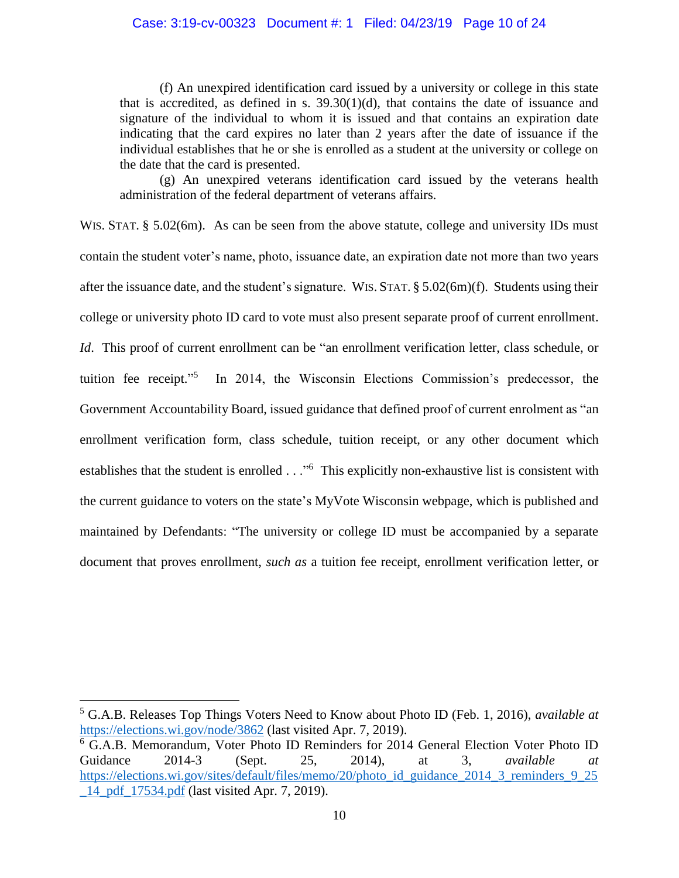(f) An unexpired identification card issued by a university or college in this state that is accredited, as defined in s.  $39.30(1)(d)$ , that contains the date of issuance and signature of the individual to whom it is issued and that contains an expiration date indicating that the card expires no later than 2 years after the date of issuance if the individual establishes that he or she is enrolled as a student at the university or college on the date that the card is presented.

(g) An unexpired veterans identification card issued by the veterans health administration of the federal department of veterans affairs.

WIS. STAT. § 5.02(6m). As can be seen from the above stature, college and university IDs must contain the student voter's name, photo, issuance date, an expiration date not more than two years after the issuance date, and the student's signature. WIS. STAT. § 5.02(6m)(f). Students using their college or university photo ID card to vote must also present separate proof of current enrollment. *Id*. This proof of current enrollment can be "an enrollment verification letter, class schedule, or tuition fee receipt." 5 In 2014, the Wisconsin Elections Commission's predecessor, the Government Accountability Board, issued guidance that defined proof of current enrolment as "an enrollment verification form, class schedule, tuition receipt, or any other document which establishes that the student is enrolled . . . "<sup>6</sup> This explicitly non-exhaustive list is consistent with the current guidance to voters on the state's MyVote Wisconsin webpage, which is published and maintained by Defendants: "The university or college ID must be accompanied by a separate document that proves enrollment, *such as* a tuition fee receipt, enrollment verification letter, or

<sup>5</sup> G.A.B. Releases Top Things Voters Need to Know about Photo ID (Feb. 1, 2016), *available at*  https://elections.wi.gov/node/3862 (last visited Apr. 7, 2019).

<sup>6</sup> G.A.B. Memorandum, Voter Photo ID Reminders for 2014 General Election Voter Photo ID Guidance 2014-3 (Sept. 25, 2014), at 3, *available at* https://elections.wi.gov/sites/default/files/memo/20/photo\_id\_guidance\_2014\_3\_reminders\_9\_25 \_14\_pdf\_17534.pdf (last visited Apr. 7, 2019).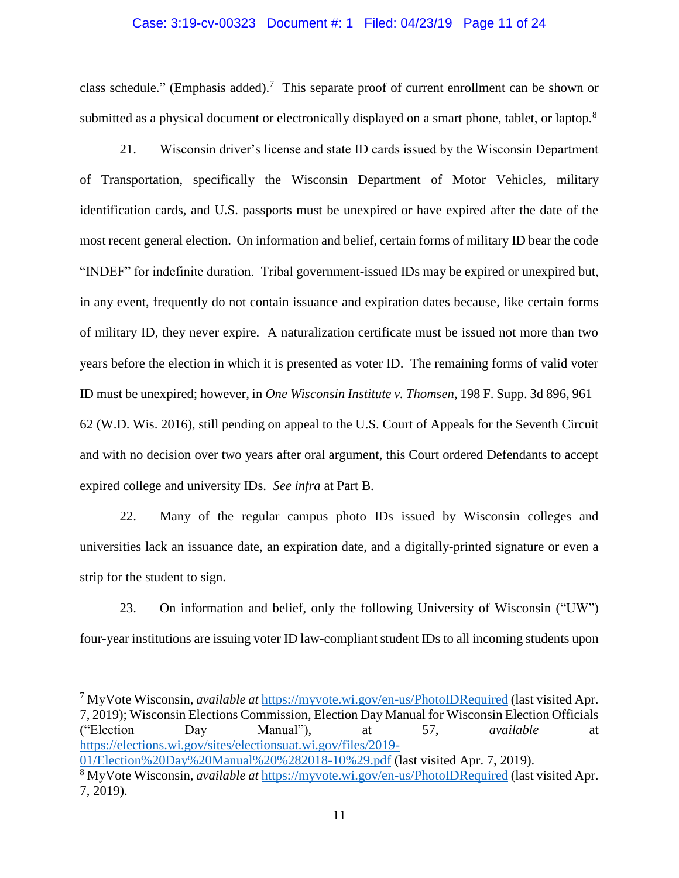#### Case: 3:19-cv-00323 Document #: 1 Filed: 04/23/19 Page 11 of 24

class schedule." (Emphasis added).<sup>7</sup> This separate proof of current enrollment can be shown or submitted as a physical document or electronically displayed on a smart phone, tablet, or laptop.<sup>8</sup>

21. Wisconsin driver's license and state ID cards issued by the Wisconsin Department of Transportation, specifically the Wisconsin Department of Motor Vehicles, military identification cards, and U.S. passports must be unexpired or have expired after the date of the most recent general election. On information and belief, certain forms of military ID bear the code "INDEF" for indefinite duration. Tribal government-issued IDs may be expired or unexpired but, in any event, frequently do not contain issuance and expiration dates because, like certain forms of military ID, they never expire. A naturalization certificate must be issued not more than two years before the election in which it is presented as voter ID. The remaining forms of valid voter ID must be unexpired; however, in *One Wisconsin Institute v. Thomsen*, 198 F. Supp. 3d 896, 961– 62 (W.D. Wis. 2016), still pending on appeal to the U.S. Court of Appeals for the Seventh Circuit and with no decision over two years after oral argument, this Court ordered Defendants to accept expired college and university IDs. *See infra* at Part B.

22. Many of the regular campus photo IDs issued by Wisconsin colleges and universities lack an issuance date, an expiration date, and a digitally-printed signature or even a strip for the student to sign.

23. On information and belief, only the following University of Wisconsin ("UW") four-year institutions are issuing voter ID law-compliant student IDs to all incoming students upon

<sup>7</sup> MyVote Wisconsin, *available at* https://myvote.wi.gov/en-us/PhotoIDRequired (last visited Apr. 7, 2019); Wisconsin Elections Commission, Election Day Manual for Wisconsin Election Officials ("Election Day Manual"), at 57, *available* at https://elections.wi.gov/sites/electionsuat.wi.gov/files/2019- 01/Election%20Day%20Manual%20%282018-10%29.pdf (last visited Apr. 7, 2019).

<sup>8</sup> MyVote Wisconsin, *available at* https://myvote.wi.gov/en-us/PhotoIDRequired (last visited Apr. 7, 2019).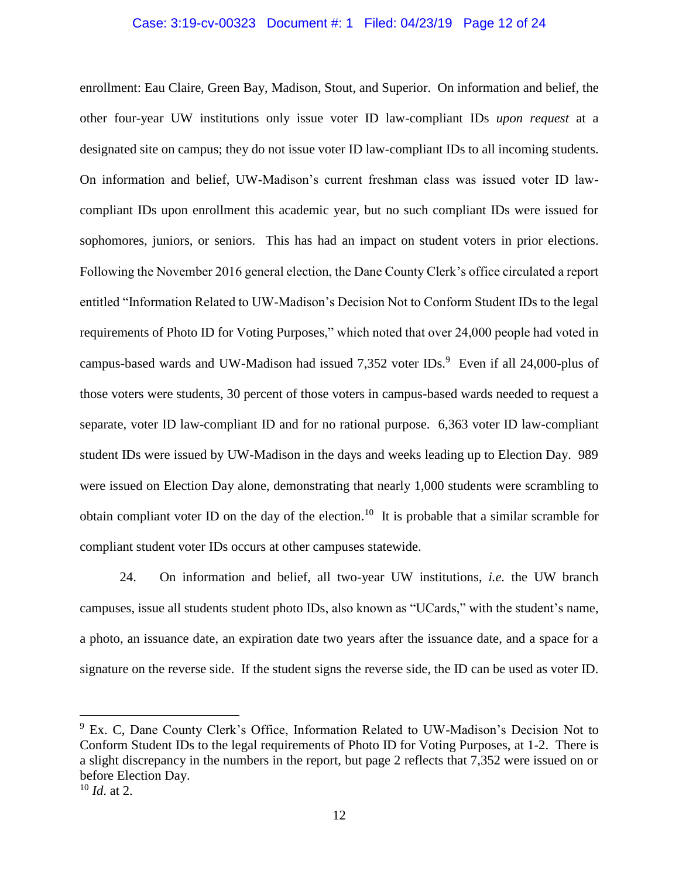#### Case: 3:19-cv-00323 Document #: 1 Filed: 04/23/19 Page 12 of 24

enrollment: Eau Claire, Green Bay, Madison, Stout, and Superior. On information and belief, the other four-year UW institutions only issue voter ID law-compliant IDs *upon request* at a designated site on campus; they do not issue voter ID law-compliant IDs to all incoming students. On information and belief, UW-Madison's current freshman class was issued voter ID lawcompliant IDs upon enrollment this academic year, but no such compliant IDs were issued for sophomores, juniors, or seniors. This has had an impact on student voters in prior elections. Following the November 2016 general election, the Dane County Clerk's office circulated a report entitled "Information Related to UW-Madison's Decision Not to Conform Student IDs to the legal requirements of Photo ID for Voting Purposes," which noted that over 24,000 people had voted in campus-based wards and UW-Madison had issued  $7,352$  voter IDs.<sup>9</sup> Even if all 24,000-plus of those voters were students, 30 percent of those voters in campus-based wards needed to request a separate, voter ID law-compliant ID and for no rational purpose. 6,363 voter ID law-compliant student IDs were issued by UW-Madison in the days and weeks leading up to Election Day. 989 were issued on Election Day alone, demonstrating that nearly 1,000 students were scrambling to obtain compliant voter ID on the day of the election.<sup>10</sup> It is probable that a similar scramble for compliant student voter IDs occurs at other campuses statewide.

24. On information and belief, all two-year UW institutions, *i.e.* the UW branch campuses, issue all students student photo IDs, also known as "UCards," with the student's name, a photo, an issuance date, an expiration date two years after the issuance date, and a space for a signature on the reverse side. If the student signs the reverse side, the ID can be used as voter ID.

<sup>&</sup>lt;sup>9</sup> Ex. C, Dane County Clerk's Office, Information Related to UW-Madison's Decision Not to Conform Student IDs to the legal requirements of Photo ID for Voting Purposes, at 1-2. There is a slight discrepancy in the numbers in the report, but page 2 reflects that 7,352 were issued on or before Election Day.

<sup>10</sup> *Id*. at 2.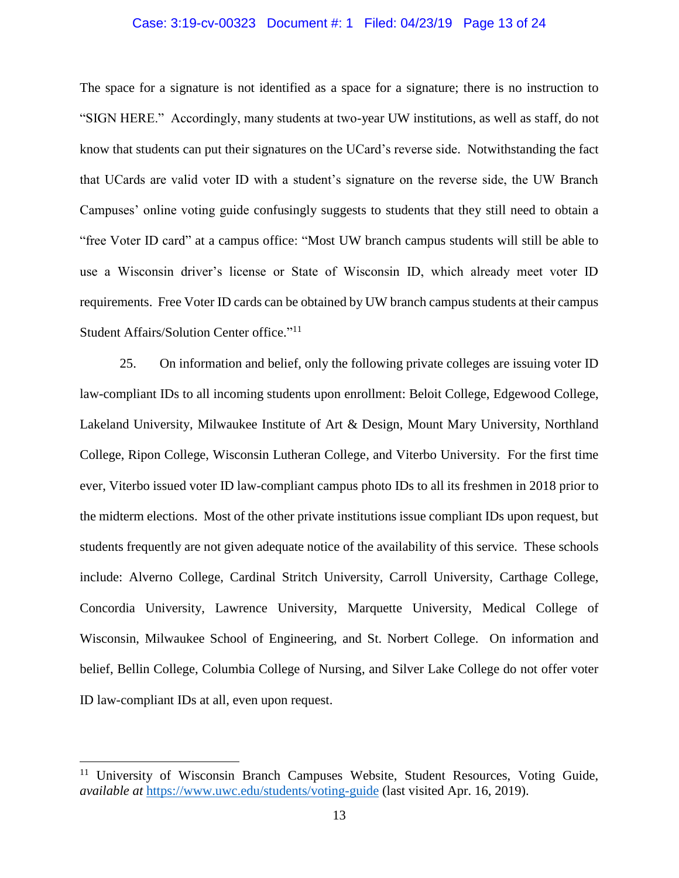#### Case: 3:19-cv-00323 Document #: 1 Filed: 04/23/19 Page 13 of 24

The space for a signature is not identified as a space for a signature; there is no instruction to "SIGN HERE." Accordingly, many students at two-year UW institutions, as well as staff, do not know that students can put their signatures on the UCard's reverse side. Notwithstanding the fact that UCards are valid voter ID with a student's signature on the reverse side, the UW Branch Campuses' online voting guide confusingly suggests to students that they still need to obtain a "free Voter ID card" at a campus office: "Most UW branch campus students will still be able to use a Wisconsin driver's license or State of Wisconsin ID, which already meet voter ID requirements. Free Voter ID cards can be obtained by UW branch campus students at their campus Student Affairs/Solution Center office."<sup>11</sup>

25. On information and belief, only the following private colleges are issuing voter ID law-compliant IDs to all incoming students upon enrollment: Beloit College, Edgewood College, Lakeland University, Milwaukee Institute of Art & Design, Mount Mary University, Northland College, Ripon College, Wisconsin Lutheran College, and Viterbo University. For the first time ever, Viterbo issued voter ID law-compliant campus photo IDs to all its freshmen in 2018 prior to the midterm elections. Most of the other private institutions issue compliant IDs upon request, but students frequently are not given adequate notice of the availability of this service. These schools include: Alverno College, Cardinal Stritch University, Carroll University, Carthage College, Concordia University, Lawrence University, Marquette University, Medical College of Wisconsin, Milwaukee School of Engineering, and St. Norbert College. On information and belief, Bellin College, Columbia College of Nursing, and Silver Lake College do not offer voter ID law-compliant IDs at all, even upon request.

<sup>&</sup>lt;sup>11</sup> University of Wisconsin Branch Campuses Website, Student Resources, Voting Guide, *available at* https://www.uwc.edu/students/voting-guide (last visited Apr. 16, 2019).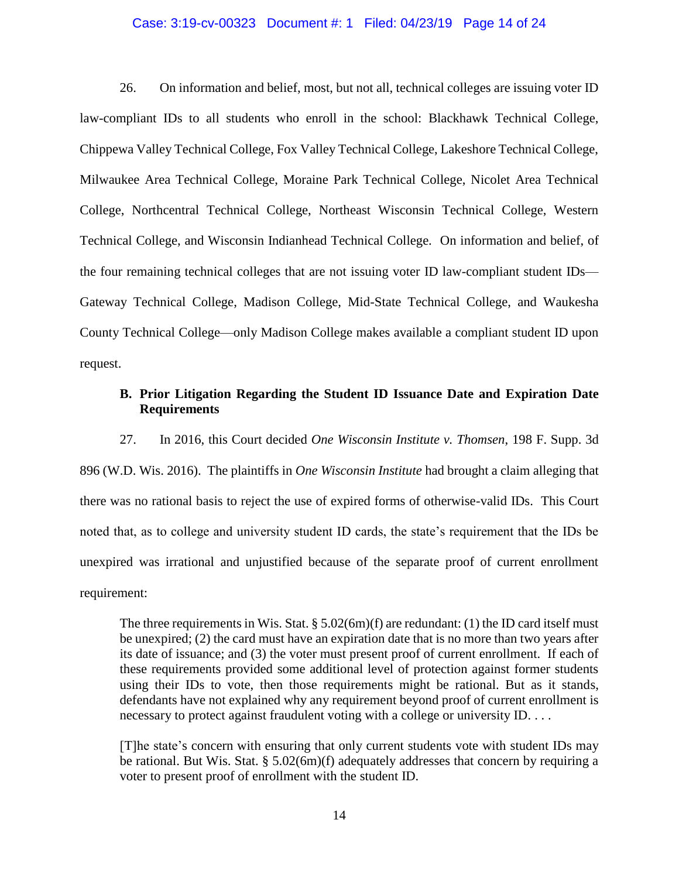#### Case: 3:19-cv-00323 Document #: 1 Filed: 04/23/19 Page 14 of 24

26. On information and belief, most, but not all, technical colleges are issuing voter ID law-compliant IDs to all students who enroll in the school: Blackhawk Technical College, Chippewa Valley Technical College, Fox Valley Technical College, Lakeshore Technical College, Milwaukee Area Technical College, Moraine Park Technical College, Nicolet Area Technical College, Northcentral Technical College, Northeast Wisconsin Technical College, Western Technical College, and Wisconsin Indianhead Technical College. On information and belief, of the four remaining technical colleges that are not issuing voter ID law-compliant student IDs— Gateway Technical College, Madison College, Mid-State Technical College, and Waukesha County Technical College—only Madison College makes available a compliant student ID upon request.

## **B. Prior Litigation Regarding the Student ID Issuance Date and Expiration Date Requirements**

27. In 2016, this Court decided *One Wisconsin Institute v. Thomsen*, 198 F. Supp. 3d 896 (W.D. Wis. 2016). The plaintiffs in *One Wisconsin Institute* had brought a claim alleging that there was no rational basis to reject the use of expired forms of otherwise-valid IDs. This Court noted that, as to college and university student ID cards, the state's requirement that the IDs be unexpired was irrational and unjustified because of the separate proof of current enrollment requirement:

The three requirements in Wis. Stat.  $\S 5.02(6m)(f)$  are redundant: (1) the ID card itself must be unexpired; (2) the card must have an expiration date that is no more than two years after its date of issuance; and (3) the voter must present proof of current enrollment. If each of these requirements provided some additional level of protection against former students using their IDs to vote, then those requirements might be rational. But as it stands, defendants have not explained why any requirement beyond proof of current enrollment is necessary to protect against fraudulent voting with a college or university ID. . . .

[T]he state's concern with ensuring that only current students vote with student IDs may be rational. But Wis. Stat. § 5.02(6m)(f) adequately addresses that concern by requiring a voter to present proof of enrollment with the student ID.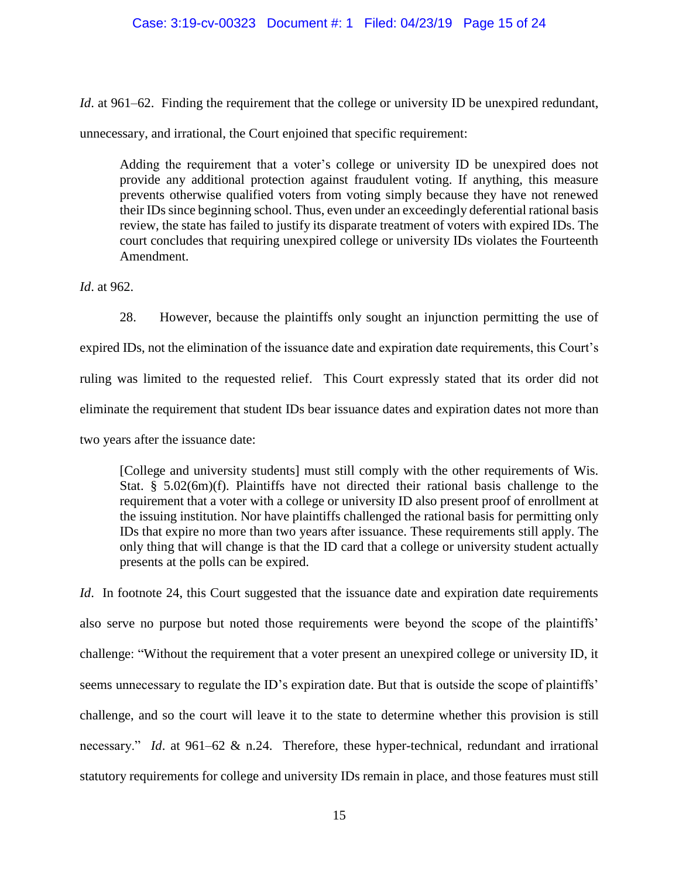### Case: 3:19-cv-00323 Document #: 1 Filed: 04/23/19 Page 15 of 24

*Id.* at 961–62. Finding the requirement that the college or university ID be unexpired redundant,

unnecessary, and irrational, the Court enjoined that specific requirement:

Adding the requirement that a voter's college or university ID be unexpired does not provide any additional protection against fraudulent voting. If anything, this measure prevents otherwise qualified voters from voting simply because they have not renewed their IDs since beginning school. Thus, even under an exceedingly deferential rational basis review, the state has failed to justify its disparate treatment of voters with expired IDs. The court concludes that requiring unexpired college or university IDs violates the Fourteenth Amendment.

*Id*. at 962.

28. However, because the plaintiffs only sought an injunction permitting the use of expired IDs, not the elimination of the issuance date and expiration date requirements, this Court's ruling was limited to the requested relief. This Court expressly stated that its order did not eliminate the requirement that student IDs bear issuance dates and expiration dates not more than two years after the issuance date:

[College and university students] must still comply with the other requirements of Wis. Stat. § 5.02(6m)(f). Plaintiffs have not directed their rational basis challenge to the requirement that a voter with a college or university ID also present proof of enrollment at the issuing institution. Nor have plaintiffs challenged the rational basis for permitting only IDs that expire no more than two years after issuance. These requirements still apply. The only thing that will change is that the ID card that a college or university student actually presents at the polls can be expired.

*Id.* In footnote 24, this Court suggested that the issuance date and expiration date requirements also serve no purpose but noted those requirements were beyond the scope of the plaintiffs' challenge: "Without the requirement that a voter present an unexpired college or university ID, it seems unnecessary to regulate the ID's expiration date. But that is outside the scope of plaintiffs' challenge, and so the court will leave it to the state to determine whether this provision is still necessary." *Id*. at 961–62 & n.24. Therefore, these hyper-technical, redundant and irrational statutory requirements for college and university IDs remain in place, and those features must still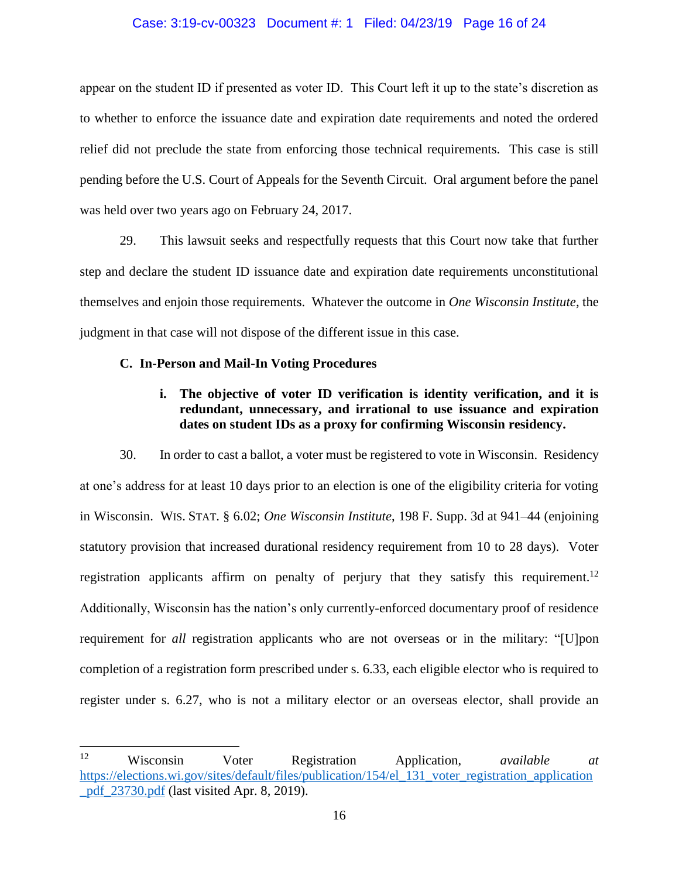#### Case: 3:19-cv-00323 Document #: 1 Filed: 04/23/19 Page 16 of 24

appear on the student ID if presented as voter ID. This Court left it up to the state's discretion as to whether to enforce the issuance date and expiration date requirements and noted the ordered relief did not preclude the state from enforcing those technical requirements. This case is still pending before the U.S. Court of Appeals for the Seventh Circuit. Oral argument before the panel was held over two years ago on February 24, 2017.

29. This lawsuit seeks and respectfully requests that this Court now take that further step and declare the student ID issuance date and expiration date requirements unconstitutional themselves and enjoin those requirements. Whatever the outcome in *One Wisconsin Institute*, the judgment in that case will not dispose of the different issue in this case.

### **C. In-Person and Mail-In Voting Procedures**

 $\overline{a}$ 

# **i. The objective of voter ID verification is identity verification, and it is redundant, unnecessary, and irrational to use issuance and expiration dates on student IDs as a proxy for confirming Wisconsin residency.**

30. In order to cast a ballot, a voter must be registered to vote in Wisconsin. Residency at one's address for at least 10 days prior to an election is one of the eligibility criteria for voting in Wisconsin. WIS. STAT. § 6.02; *One Wisconsin Institute*, 198 F. Supp. 3d at 941–44 (enjoining statutory provision that increased durational residency requirement from 10 to 28 days). Voter registration applicants affirm on penalty of perjury that they satisfy this requirement.<sup>12</sup> Additionally, Wisconsin has the nation's only currently-enforced documentary proof of residence requirement for *all* registration applicants who are not overseas or in the military: "[U]pon completion of a registration form prescribed under s. 6.33, each eligible elector who is required to register under s. 6.27, who is not a military elector or an overseas elector, shall provide an

<sup>12</sup> Wisconsin Voter Registration Application, *available at*  https://elections.wi.gov/sites/default/files/publication/154/el\_131\_voter\_registration\_application \_pdf\_23730.pdf (last visited Apr. 8, 2019).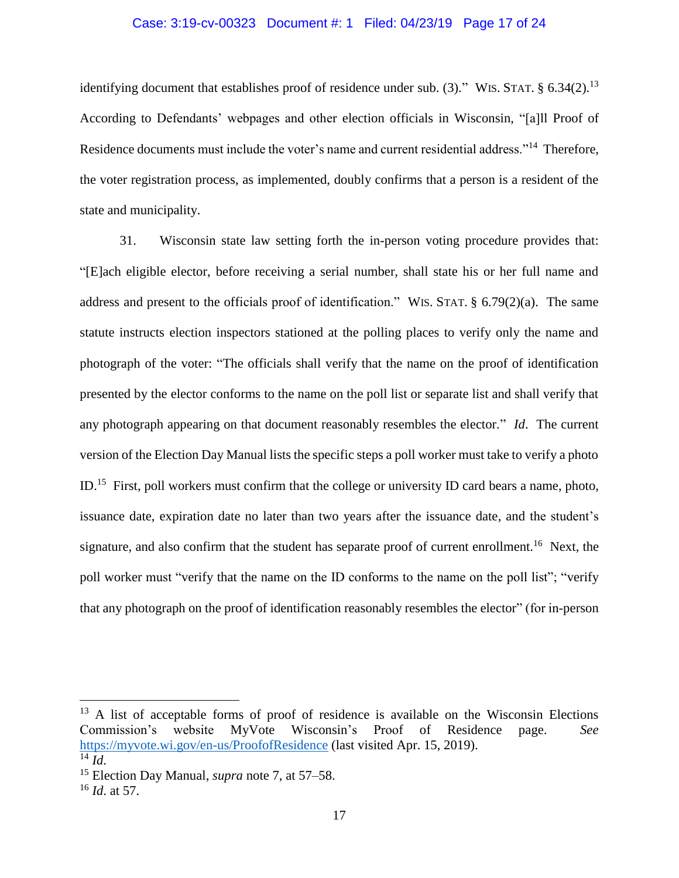### Case: 3:19-cv-00323 Document #: 1 Filed: 04/23/19 Page 17 of 24

identifying document that establishes proof of residence under sub. (3)." WIS. STAT.  $\S$  6.34(2).<sup>13</sup> According to Defendants' webpages and other election officials in Wisconsin, "[a]ll Proof of Residence documents must include the voter's name and current residential address."<sup>14</sup> Therefore, the voter registration process, as implemented, doubly confirms that a person is a resident of the state and municipality.

31. Wisconsin state law setting forth the in-person voting procedure provides that: "[E]ach eligible elector, before receiving a serial number, shall state his or her full name and address and present to the officials proof of identification." WIS. STAT. § 6.79(2)(a). The same statute instructs election inspectors stationed at the polling places to verify only the name and photograph of the voter: "The officials shall verify that the name on the proof of identification presented by the elector conforms to the name on the poll list or separate list and shall verify that any photograph appearing on that document reasonably resembles the elector." *Id*. The current version of the Election Day Manual lists the specific steps a poll worker must take to verify a photo ID.<sup>15</sup> First, poll workers must confirm that the college or university ID card bears a name, photo, issuance date, expiration date no later than two years after the issuance date, and the student's signature, and also confirm that the student has separate proof of current enrollment.<sup>16</sup> Next, the poll worker must "verify that the name on the ID conforms to the name on the poll list"; "verify that any photograph on the proof of identification reasonably resembles the elector" (for in-person

 $13$  A list of acceptable forms of proof of residence is available on the Wisconsin Elections Commission's website MyVote Wisconsin's Proof of Residence page. *See* https://myvote.wi.gov/en-us/ProofofResidence (last visited Apr. 15, 2019).

 $^{14}$  *Id.* 

<sup>15</sup> Election Day Manual, *supra* note 7, at 57–58.

<sup>16</sup> *Id*. at 57.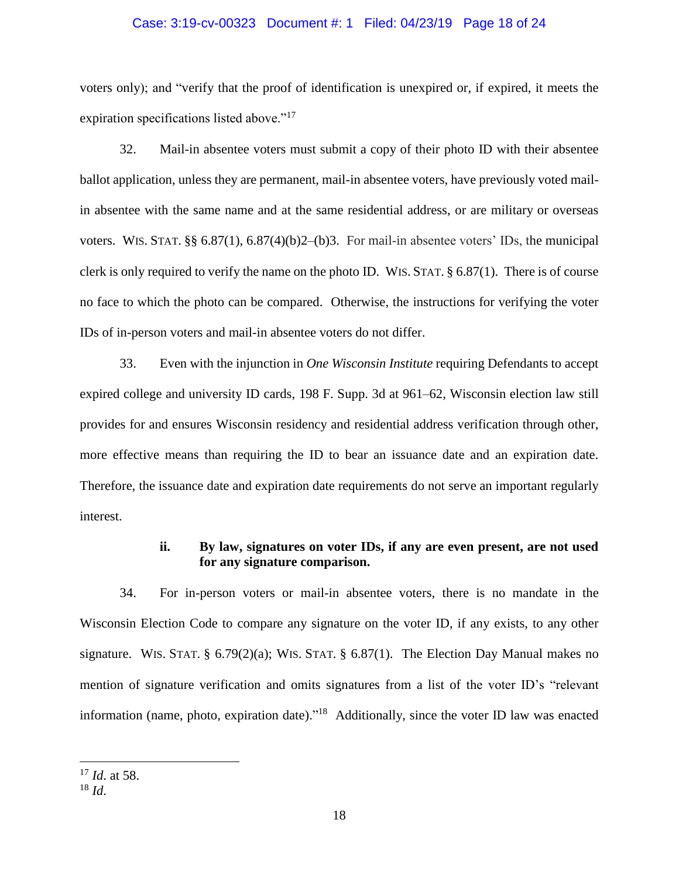#### Case: 3:19-cv-00323 Document #: 1 Filed: 04/23/19 Page 18 of 24

voters only); and "verify that the proof of identification is unexpired or, if expired, it meets the expiration specifications listed above."<sup>17</sup>

32. Mail-in absentee voters must submit a copy of their photo ID with their absentee ballot application, unless they are permanent, mail-in absentee voters, have previously voted mailin absentee with the same name and at the same residential address, or are military or overseas voters. WIS. STAT. §§  $6.87(1)$ ,  $6.87(4)(b)2-(b)3$ . For mail-in absentee voters' IDs, the municipal clerk is only required to verify the name on the photo ID. WIS. STAT. § 6.87(1). There is of course no face to which the photo can be compared. Otherwise, the instructions for verifying the voter IDs of in-person voters and mail-in absentee voters do not differ.

33. Even with the injunction in *One Wisconsin Institute* requiring Defendants to accept expired college and university ID cards, 198 F. Supp. 3d at 961–62, Wisconsin election law still provides for and ensures Wisconsin residency and residential address verification through other, more effective means than requiring the ID to bear an issuance date and an expiration date. Therefore, the issuance date and expiration date requirements do not serve an important regularly interest.

## **ii. By law, signatures on voter IDs, if any are even present, are not used for any signature comparison.**

34. For in-person voters or mail-in absentee voters, there is no mandate in the Wisconsin Election Code to compare any signature on the voter ID, if any exists, to any other signature. WIS. STAT. §  $6.79(2)(a)$ ; WIS. STAT. §  $6.87(1)$ . The Election Day Manual makes no mention of signature verification and omits signatures from a list of the voter ID's "relevant information (name, photo, expiration date)."<sup>18</sup> Additionally, since the voter ID law was enacted

<sup>17</sup> *Id*. at 58.

<sup>18</sup> *Id*.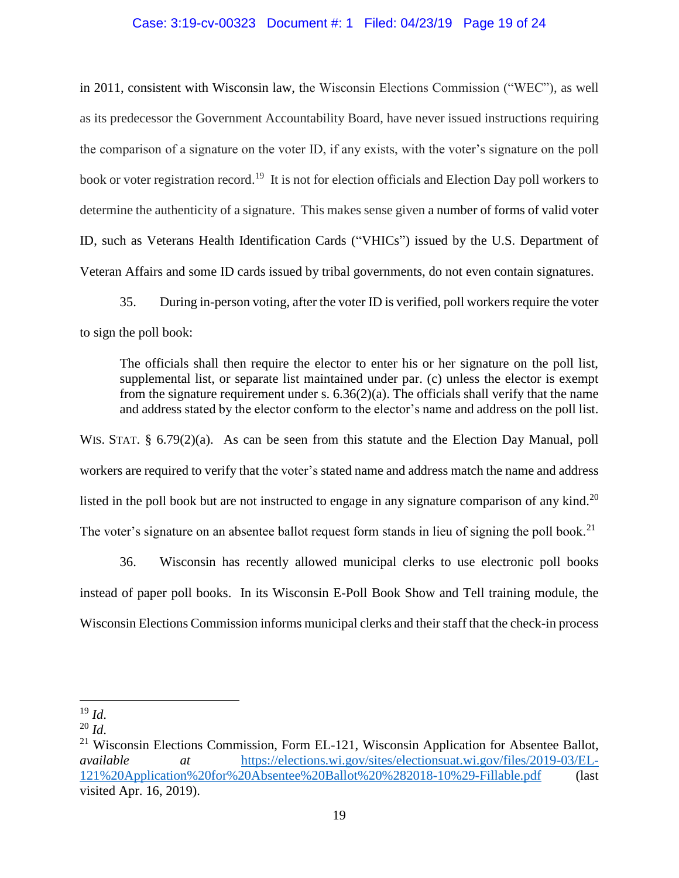### Case: 3:19-cv-00323 Document #: 1 Filed: 04/23/19 Page 19 of 24

in 2011, consistent with Wisconsin law, the Wisconsin Elections Commission ("WEC"), as well as its predecessor the Government Accountability Board, have never issued instructions requiring the comparison of a signature on the voter ID, if any exists, with the voter's signature on the poll book or voter registration record.<sup>19</sup> It is not for election officials and Election Day poll workers to determine the authenticity of a signature. This makes sense given a number of forms of valid voter ID, such as Veterans Health Identification Cards ("VHICs") issued by the U.S. Department of Veteran Affairs and some ID cards issued by tribal governments, do not even contain signatures.

35. During in-person voting, after the voter ID is verified, poll workers require the voter to sign the poll book:

The officials shall then require the elector to enter his or her signature on the poll list, supplemental list, or separate list maintained under par. (c) unless the elector is exempt from the signature requirement under s.  $6.36(2)(a)$ . The officials shall verify that the name and address stated by the elector conform to the elector's name and address on the poll list.

WIS. STAT. § 6.79(2)(a). As can be seen from this statute and the Election Day Manual, poll workers are required to verify that the voter's stated name and address match the name and address listed in the poll book but are not instructed to engage in any signature comparison of any kind.<sup>20</sup> The voter's signature on an absentee ballot request form stands in lieu of signing the poll book.<sup>21</sup>

36. Wisconsin has recently allowed municipal clerks to use electronic poll books instead of paper poll books. In its Wisconsin E-Poll Book Show and Tell training module, the Wisconsin Elections Commission informs municipal clerks and their staff that the check-in process

<sup>19</sup> *Id*.

 $^{20}$  *Id*.

 $21$  Wisconsin Elections Commission, Form EL-121, Wisconsin Application for Absentee Ballot, *available at* https://elections.wi.gov/sites/electionsuat.wi.gov/files/2019-03/EL-121%20Application%20for%20Absentee%20Ballot%20%282018-10%29-Fillable.pdf (last visited Apr. 16, 2019).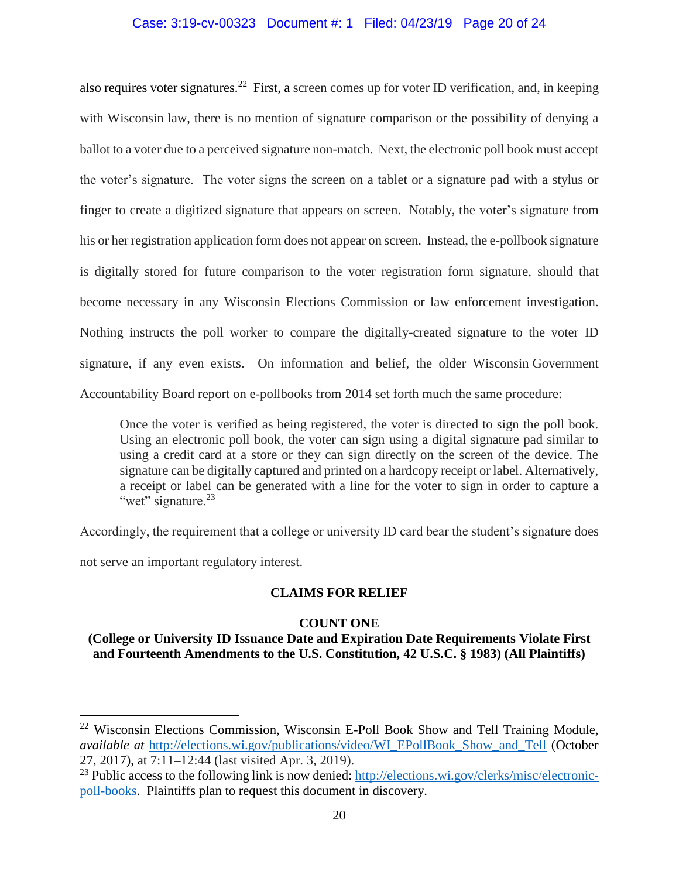## Case: 3:19-cv-00323 Document #: 1 Filed: 04/23/19 Page 20 of 24

also requires voter signatures.<sup>22</sup> First, a screen comes up for voter ID verification, and, in keeping with Wisconsin law, there is no mention of signature comparison or the possibility of denying a ballot to a voter due to a perceived signature non-match. Next, the electronic poll book must accept the voter's signature. The voter signs the screen on a tablet or a signature pad with a stylus or finger to create a digitized signature that appears on screen. Notably, the voter's signature from his or her registration application form does not appear on screen. Instead, the e-pollbook signature is digitally stored for future comparison to the voter registration form signature, should that become necessary in any Wisconsin Elections Commission or law enforcement investigation. Nothing instructs the poll worker to compare the digitally-created signature to the voter ID signature, if any even exists. On information and belief, the older Wisconsin Government Accountability Board report on e-pollbooks from 2014 set forth much the same procedure:

Once the voter is verified as being registered, the voter is directed to sign the poll book. Using an electronic poll book, the voter can sign using a digital signature pad similar to using a credit card at a store or they can sign directly on the screen of the device. The signature can be digitally captured and printed on a hardcopy receipt or label. Alternatively, a receipt or label can be generated with a line for the voter to sign in order to capture a "wet" signature.<sup>23</sup>

Accordingly, the requirement that a college or university ID card bear the student's signature does

not serve an important regulatory interest.

 $\overline{a}$ 

## **CLAIMS FOR RELIEF**

## **COUNT ONE**

## **(College or University ID Issuance Date and Expiration Date Requirements Violate First and Fourteenth Amendments to the U.S. Constitution, 42 U.S.C. § 1983) (All Plaintiffs)**

<sup>&</sup>lt;sup>22</sup> Wisconsin Elections Commission, Wisconsin E-Poll Book Show and Tell Training Module, *available at http://elections.wi.gov/publications/video/WI\_EPollBook\_Show\_and\_Tell (October* 27, 2017), at 7:11–12:44 (last visited Apr. 3, 2019).

<sup>&</sup>lt;sup>23</sup> Public access to the following link is now denied: http://elections.wi.gov/clerks/misc/electronicpoll-books. Plaintiffs plan to request this document in discovery.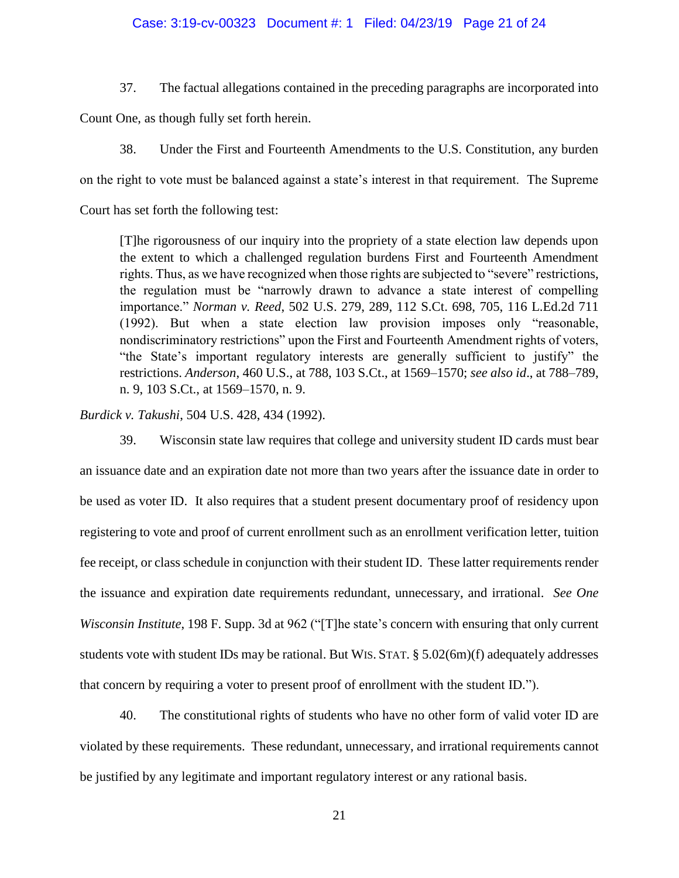#### Case: 3:19-cv-00323 Document #: 1 Filed: 04/23/19 Page 21 of 24

37. The factual allegations contained in the preceding paragraphs are incorporated into

Count One, as though fully set forth herein.

38. Under the First and Fourteenth Amendments to the U.S. Constitution, any burden on the right to vote must be balanced against a state's interest in that requirement. The Supreme Court has set forth the following test:

[T]he rigorousness of our inquiry into the propriety of a state election law depends upon the extent to which a challenged regulation burdens First and Fourteenth Amendment rights. Thus, as we have recognized when those rights are subjected to "severe" restrictions, the regulation must be "narrowly drawn to advance a state interest of compelling importance." *Norman v. Reed*, 502 U.S. 279, 289, 112 S.Ct. 698, 705, 116 L.Ed.2d 711 (1992). But when a state election law provision imposes only "reasonable, nondiscriminatory restrictions" upon the First and Fourteenth Amendment rights of voters, "the State's important regulatory interests are generally sufficient to justify" the restrictions. *Anderson*, 460 U.S., at 788, 103 S.Ct., at 1569–1570; *see also id*., at 788–789, n. 9, 103 S.Ct., at 1569–1570, n. 9.

*Burdick v. Takushi*, 504 U.S. 428, 434 (1992).

39. Wisconsin state law requires that college and university student ID cards must bear an issuance date and an expiration date not more than two years after the issuance date in order to be used as voter ID. It also requires that a student present documentary proof of residency upon registering to vote and proof of current enrollment such as an enrollment verification letter, tuition fee receipt, or class schedule in conjunction with their student ID. These latter requirements render the issuance and expiration date requirements redundant, unnecessary, and irrational. *See One Wisconsin Institute*, 198 F. Supp. 3d at 962 ("The state's concern with ensuring that only current students vote with student IDs may be rational. But WIS. STAT. § 5.02(6m)(f) adequately addresses that concern by requiring a voter to present proof of enrollment with the student ID.").

40. The constitutional rights of students who have no other form of valid voter ID are violated by these requirements. These redundant, unnecessary, and irrational requirements cannot be justified by any legitimate and important regulatory interest or any rational basis.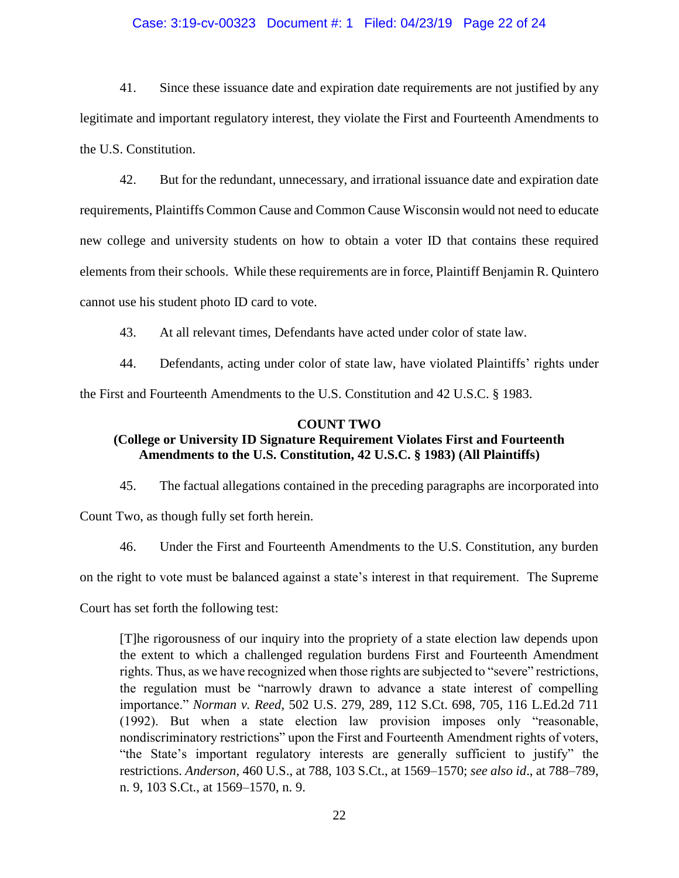#### Case: 3:19-cv-00323 Document #: 1 Filed: 04/23/19 Page 22 of 24

41. Since these issuance date and expiration date requirements are not justified by any legitimate and important regulatory interest, they violate the First and Fourteenth Amendments to the U.S. Constitution.

42. But for the redundant, unnecessary, and irrational issuance date and expiration date requirements, Plaintiffs Common Cause and Common Cause Wisconsin would not need to educate new college and university students on how to obtain a voter ID that contains these required elements from their schools. While these requirements are in force, Plaintiff Benjamin R. Quintero cannot use his student photo ID card to vote.

43. At all relevant times, Defendants have acted under color of state law.

44. Defendants, acting under color of state law, have violated Plaintiffs' rights under the First and Fourteenth Amendments to the U.S. Constitution and 42 U.S.C. § 1983.

### **COUNT TWO**

# **(College or University ID Signature Requirement Violates First and Fourteenth Amendments to the U.S. Constitution, 42 U.S.C. § 1983) (All Plaintiffs)**

45. The factual allegations contained in the preceding paragraphs are incorporated into

Count Two, as though fully set forth herein.

46. Under the First and Fourteenth Amendments to the U.S. Constitution, any burden

on the right to vote must be balanced against a state's interest in that requirement. The Supreme

Court has set forth the following test:

[T]he rigorousness of our inquiry into the propriety of a state election law depends upon the extent to which a challenged regulation burdens First and Fourteenth Amendment rights. Thus, as we have recognized when those rights are subjected to "severe" restrictions, the regulation must be "narrowly drawn to advance a state interest of compelling importance." *Norman v. Reed*, 502 U.S. 279, 289, 112 S.Ct. 698, 705, 116 L.Ed.2d 711 (1992). But when a state election law provision imposes only "reasonable, nondiscriminatory restrictions" upon the First and Fourteenth Amendment rights of voters, "the State's important regulatory interests are generally sufficient to justify" the restrictions. *Anderson*, 460 U.S., at 788, 103 S.Ct., at 1569–1570; *see also id*., at 788–789, n. 9, 103 S.Ct., at 1569–1570, n. 9.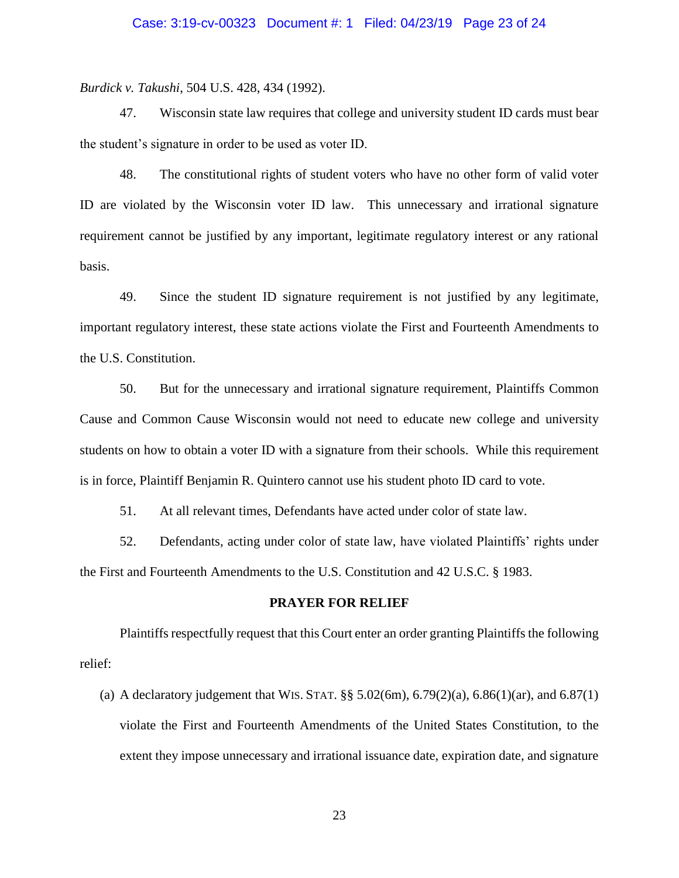*Burdick v. Takushi*, 504 U.S. 428, 434 (1992).

47. Wisconsin state law requires that college and university student ID cards must bear the student's signature in order to be used as voter ID.

48. The constitutional rights of student voters who have no other form of valid voter ID are violated by the Wisconsin voter ID law. This unnecessary and irrational signature requirement cannot be justified by any important, legitimate regulatory interest or any rational basis.

49. Since the student ID signature requirement is not justified by any legitimate, important regulatory interest, these state actions violate the First and Fourteenth Amendments to the U.S. Constitution.

50. But for the unnecessary and irrational signature requirement, Plaintiffs Common Cause and Common Cause Wisconsin would not need to educate new college and university students on how to obtain a voter ID with a signature from their schools. While this requirement is in force, Plaintiff Benjamin R. Quintero cannot use his student photo ID card to vote.

51. At all relevant times, Defendants have acted under color of state law.

52. Defendants, acting under color of state law, have violated Plaintiffs' rights under the First and Fourteenth Amendments to the U.S. Constitution and 42 U.S.C. § 1983.

### **PRAYER FOR RELIEF**

Plaintiffs respectfully request that this Court enter an order granting Plaintiffs the following relief:

(a) A declaratory judgement that WIS. STAT.  $\S$  5.02(6m), 6.79(2)(a), 6.86(1)(ar), and 6.87(1) violate the First and Fourteenth Amendments of the United States Constitution, to the extent they impose unnecessary and irrational issuance date, expiration date, and signature

23